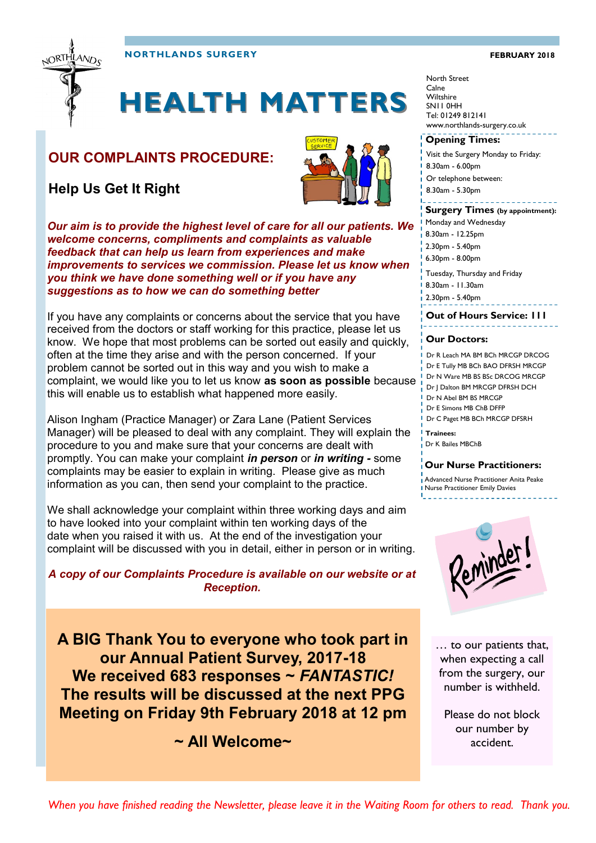

**NORTHLANDS SURGERY FEBRUARY 2018** 

### **HEALTH MATTERS**

### **OUR COMPLAINTS PROCEDURE:**

**Help Us Get It Right**



*Our aim is to provide the highest level of care for all our patients. We welcome concerns, compliments and complaints as valuable feedback that can help us learn from experiences and make improvements to services we commission. Please let us know when you think we have done something well or if you have any suggestions as to how we can do something better*

If you have any complaints or concerns about the service that you have received from the doctors or staff working for this practice, please let us know. We hope that most problems can be sorted out easily and quickly, often at the time they arise and with the person concerned. If your problem cannot be sorted out in this way and you wish to make a complaint, we would like you to let us know **as soon as possible** because this will enable us to establish what happened more easily.

Alison Ingham (Practice Manager) or Zara Lane (Patient Services Manager) will be pleased to deal with any complaint. They will explain the procedure to you and make sure that your concerns are dealt with promptly. You can make your complaint *in person* or *in writing -* some complaints may be easier to explain in writing. Please give as much information as you can, then send your complaint to the practice.

We shall acknowledge your complaint within three working days and aim to have looked into your complaint within ten working days of the date when you raised it with us. At the end of the investigation your complaint will be discussed with you in detail, either in person or in writing.

### *A copy of our Complaints Procedure is available on our website or at Reception.*

**A BIG Thank You to everyone who took part in our Annual Patient Survey, 2017-18 We received 683 responses ~** *FANTASTIC!* **The results will be discussed at the next PPG Meeting on Friday 9th February 2018 at 12 pm**

**~ All Welcome~**

#### North Street Calne **Wiltshire** SN11 0HH Tel: 01249 812141 www.northlands-surgery.co.uk

#### **Opening Times:**

- Visit the Surgery Monday to Friday:
- 8.30am 6.00pm
- Or telephone between:
- 8.30am 5.30pm

#### **Surgery Times (by appointment):**

- Monday and Wednesday
- 8.30am 12.25pm
- 2.30pm 5.40pm
- 6.30pm 8.00pm
- Tuesday, Thursday and Friday
- 8.30am 11.30am
- 2.30pm 5.40pm

#### **Out of Hours Service: 111**

#### **Our Doctors:**

- Dr R Leach MA BM BCh MRCGP DRCOG
- Dr E Tully MB BCh BAO DFRSH MRCGP
- Dr N Ware MB BS BSc DRCOG MRCGP
- Dr J Dalton BM MRCGP DFRSH DCH
- Dr N Abel BM BS MRCGP Dr E Simons MB ChB DFFP
- Dr C Paget MB BCh MRCGP DFSRH

**Trainees:** Dr K Bailes MBChB

#### **Our Nurse Practitioners:**

Advanced Nurse Practitioner Anita Peake Nurse Practitioner Emily Davies



… to our patients that, when expecting a call from the surgery, our number is withheld.

Please do not block our number by accident.